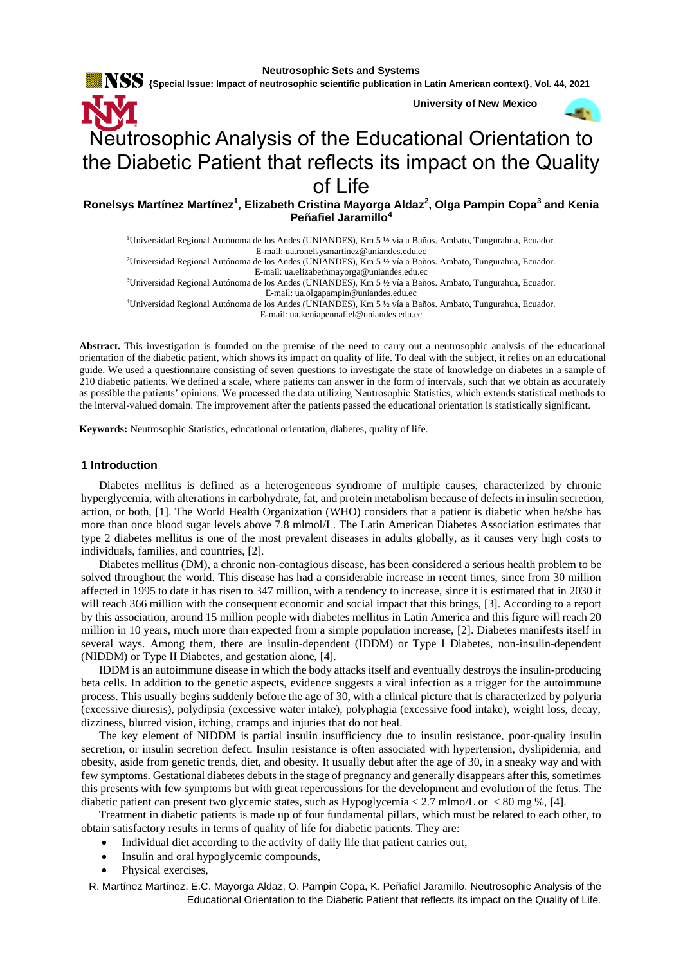${\bf \color{red}{NSS}}$  {Special Issue: Impact of neutrosophic scientific publication in Latin American context}, Vol. 44, 2021



# Neutrosophic Analysis of the Educational Orientation to the Diabetic Patient that reflects its impact on the Quality of Life

**Ronelsys Martínez Martínez<sup>1</sup> , Elizabeth Cristina Mayorga Aldaz<sup>2</sup> , Olga Pampin Copa<sup>3</sup> and Kenia Peñafiel Jaramillo<sup>4</sup>**

<sup>1</sup>Universidad Regional Autónoma de los Andes (UNIANDES), Km 5 ½ vía a Baños. Ambato, Tungurahua, Ecuador. E-mail: ua.ronelsysmartinez@uniandes.edu.ec <sup>2</sup>Universidad Regional Autónoma de los Andes (UNIANDES), Km 5 ½ vía a Baños. Ambato, Tungurahua, Ecuador. E-mail: ua.elizabethmayorga@uniandes.edu.ec <sup>3</sup>Universidad Regional Autónoma de los Andes (UNIANDES), Km 5 ½ vía a Baños. Ambato, Tungurahua, Ecuador. E-mail: ua.olgapampin@uniandes.edu.ec

<sup>4</sup>Universidad Regional Autónoma de los Andes (UNIANDES), Km 5 ½ vía a Baños. Ambato, Tungurahua, Ecuador.

E-mail: ua.keniapennafiel@uniandes.edu.ec

**Abstract.** This investigation is founded on the premise of the need to carry out a neutrosophic analysis of the educational orientation of the diabetic patient, which shows its impact on quality of life. To deal with the subject, it relies on an educational guide. We used a questionnaire consisting of seven questions to investigate the state of knowledge on diabetes in a sample of 210 diabetic patients. We defined a scale, where patients can answer in the form of intervals, such that we obtain as accurately as possible the patients' opinions. We processed the data utilizing Neutrosophic Statistics, which extends statistical methods to the interval-valued domain. The improvement after the patients passed the educational orientation is statistically significant.

**Keywords:** Neutrosophic Statistics, educational orientation, diabetes, quality of life.

### **1 Introduction**

Diabetes mellitus is defined as a heterogeneous syndrome of multiple causes, characterized by chronic hyperglycemia, with alterations in carbohydrate, fat, and protein metabolism because of defects in insulin secretion, action, or both, [1]. The World Health Organization (WHO) considers that a patient is diabetic when he/she has more than once blood sugar levels above 7.8 mlmol/L. The Latin American Diabetes Association estimates that type 2 diabetes mellitus is one of the most prevalent diseases in adults globally, as it causes very high costs to individuals, families, and countries, [2].

Diabetes mellitus (DM), a chronic non-contagious disease, has been considered a serious health problem to be solved throughout the world. This disease has had a considerable increase in recent times, since from 30 million affected in 1995 to date it has risen to 347 million, with a tendency to increase, since it is estimated that in 2030 it will reach 366 million with the consequent economic and social impact that this brings, [3]. According to a report by this association, around 15 million people with diabetes mellitus in Latin America and this figure will reach 20 million in 10 years, much more than expected from a simple population increase, [2]. Diabetes manifests itself in several ways. Among them, there are insulin-dependent (IDDM) or Type I Diabetes, non-insulin-dependent (NIDDM) or Type II Diabetes, and gestation alone, [4].

IDDM is an autoimmune disease in which the body attacks itself and eventually destroys the insulin-producing beta cells. In addition to the genetic aspects, evidence suggests a viral infection as a trigger for the autoimmune process. This usually begins suddenly before the age of 30, with a clinical picture that is characterized by polyuria (excessive diuresis), polydipsia (excessive water intake), polyphagia (excessive food intake), weight loss, decay, dizziness, blurred vision, itching, cramps and injuries that do not heal.

The key element of NIDDM is partial insulin insufficiency due to insulin resistance, poor-quality insulin secretion, or insulin secretion defect. Insulin resistance is often associated with hypertension, dyslipidemia, and obesity, aside from genetic trends, diet, and obesity. It usually debut after the age of 30, in a sneaky way and with few symptoms. Gestational diabetes debuts in the stage of pregnancy and generally disappears after this, sometimes this presents with few symptoms but with great repercussions for the development and evolution of the fetus. The diabetic patient can present two glycemic states, such as Hypoglycemia < 2.7 mlmo/L or < 80 mg %, [4].

Treatment in diabetic patients is made up of four fundamental pillars, which must be related to each other, to obtain satisfactory results in terms of quality of life for diabetic patients. They are:

- Individual diet according to the activity of daily life that patient carries out,
- Insulin and oral hypoglycemic compounds,
- Physical exercises,

R. Martínez Martínez, E.C. Mayorga Aldaz, O. Pampin Copa, K. Peñafiel Jaramillo. Neutrosophic Analysis of the Educational Orientation to the Diabetic Patient that reflects its impact on the Quality of Life.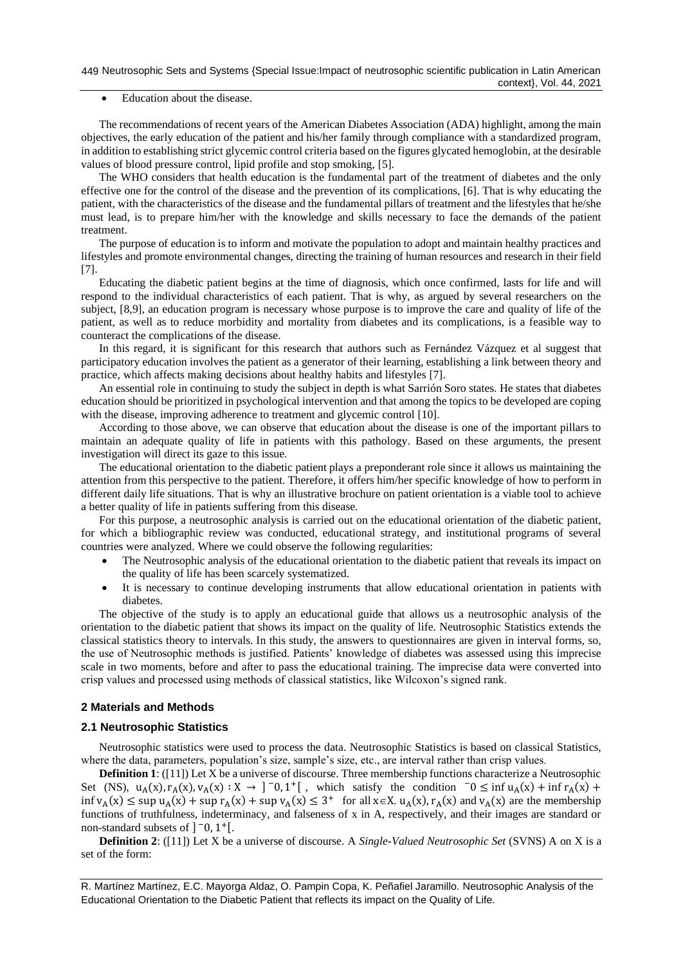## Education about the disease.

The recommendations of recent years of the American Diabetes Association (ADA) highlight, among the main objectives, the early education of the patient and his/her family through compliance with a standardized program, in addition to establishing strict glycemic control criteria based on the figures glycated hemoglobin, at the desirable values of blood pressure control, lipid profile and stop smoking, [5].

The WHO considers that health education is the fundamental part of the treatment of diabetes and the only effective one for the control of the disease and the prevention of its complications, [6]. That is why educating the patient, with the characteristics of the disease and the fundamental pillars of treatment and the lifestyles that he/she must lead, is to prepare him/her with the knowledge and skills necessary to face the demands of the patient treatment.

The purpose of education is to inform and motivate the population to adopt and maintain healthy practices and lifestyles and promote environmental changes, directing the training of human resources and research in their field [7].

Educating the diabetic patient begins at the time of diagnosis, which once confirmed, lasts for life and will respond to the individual characteristics of each patient. That is why, as argued by several researchers on the subject, [8,9], an education program is necessary whose purpose is to improve the care and quality of life of the patient, as well as to reduce morbidity and mortality from diabetes and its complications, is a feasible way to counteract the complications of the disease.

In this regard, it is significant for this research that authors such as Fernández Vázquez et al suggest that participatory education involves the patient as a generator of their learning, establishing a link between theory and practice, which affects making decisions about healthy habits and lifestyles [7].

An essential role in continuing to study the subject in depth is what Sarrión Soro states. He states that diabetes education should be prioritized in psychological intervention and that among the topics to be developed are coping with the disease, improving adherence to treatment and glycemic control [10].

According to those above, we can observe that education about the disease is one of the important pillars to maintain an adequate quality of life in patients with this pathology. Based on these arguments, the present investigation will direct its gaze to this issue.

The educational orientation to the diabetic patient plays a preponderant role since it allows us maintaining the attention from this perspective to the patient. Therefore, it offers him/her specific knowledge of how to perform in different daily life situations. That is why an illustrative brochure on patient orientation is a viable tool to achieve a better quality of life in patients suffering from this disease.

For this purpose, a neutrosophic analysis is carried out on the educational orientation of the diabetic patient, for which a bibliographic review was conducted, educational strategy, and institutional programs of several countries were analyzed. Where we could observe the following regularities:

- The Neutrosophic analysis of the educational orientation to the diabetic patient that reveals its impact on the quality of life has been scarcely systematized.
- It is necessary to continue developing instruments that allow educational orientation in patients with diabetes.

The objective of the study is to apply an educational guide that allows us a neutrosophic analysis of the orientation to the diabetic patient that shows its impact on the quality of life. Neutrosophic Statistics extends the classical statistics theory to intervals. In this study, the answers to questionnaires are given in interval forms, so, the use of Neutrosophic methods is justified. Patients' knowledge of diabetes was assessed using this imprecise scale in two moments, before and after to pass the educational training. The imprecise data were converted into crisp values and processed using methods of classical statistics, like Wilcoxon's signed rank.

## **2 Materials and Methods**

## **2.1 Neutrosophic Statistics**

Neutrosophic statistics were used to process the data. Neutrosophic Statistics is based on classical Statistics, where the data, parameters, population's size, sample's size, etc., are interval rather than crisp values.

**Definition 1**: ([11]) Let X be a universe of discourse. Three membership functions characterize a Neutrosophic Set (NS),  $u_A(x)$ ,  $r_A(x)$ ,  $v_A(x)$ :  $X \to ]0,1^+[$ , which satisfy the condition  $0 \le \inf u_A(x) + \inf r_A(x) +$  $\inf v_A(x) \leq \sup u_A(x) + \sup r_A(x) + \sup v_A(x) \leq 3^+$  for all  $x \in X$ .  $u_A(x)$ ,  $r_A(x)$  and  $v_A(x)$  are the membership functions of truthfulness, indeterminacy, and falseness of x in A, respectively, and their images are standard or non-standard subsets of  $]$ <sup>-</sup>0, 1<sup>+</sup>[.

**Definition 2**: ([11]) Let X be a universe of discourse. A *Single-Valued Neutrosophic Set* (SVNS) A on X is a set of the form:

R. Martínez Martínez, E.C. Mayorga Aldaz, O. Pampin Copa, K. Peñafiel Jaramillo. Neutrosophic Analysis of the Educational Orientation to the Diabetic Patient that reflects its impact on the Quality of Life.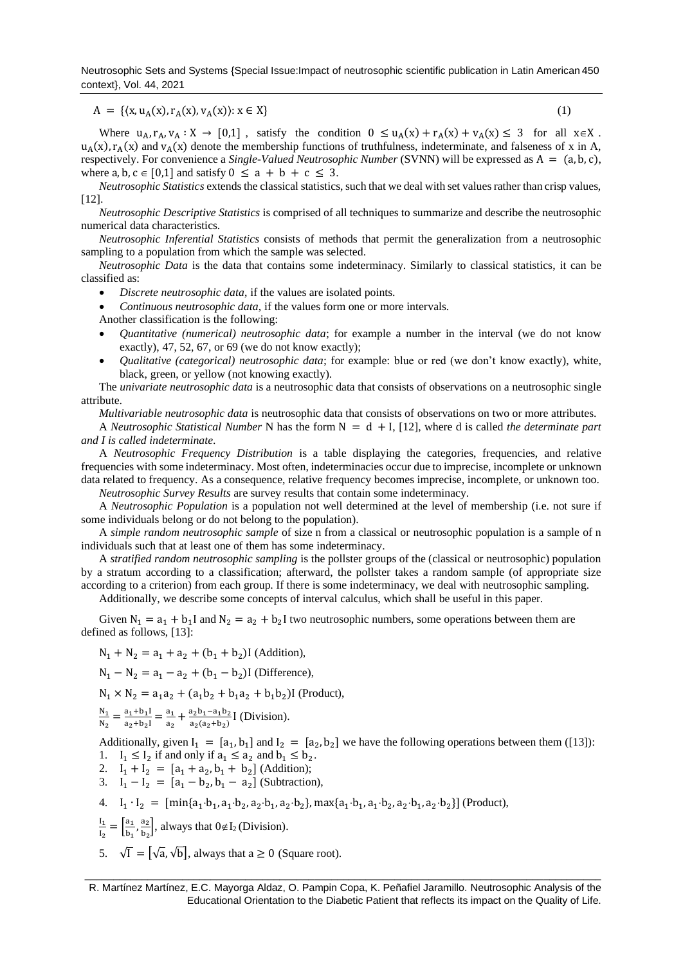Neutrosophic Sets and Systems {Special Issue:Impact of neutrosophic scientific publication in Latin American 450 context}, Vol. 44, 2021

$$
A = \{ (x, u_A(x), r_A(x), v_A(x)) : x \in X \}
$$
 (1)

Where  $u_A, r_A, v_A : X \to [0,1]$ , satisfy the condition  $0 \le u_A(x) + r_A(x) + v_A(x) \le 3$  for all  $x \in X$ .  $u_A(x)$ ,  $r_A(x)$  and  $v_A(x)$  denote the membership functions of truthfulness, indeterminate, and falseness of x in A, respectively. For convenience a *Single-Valued Neutrosophic Number* (SVNN) will be expressed as A = (a, b, c), where a, b,  $c \in [0,1]$  and satisfy  $0 \le a + b + c \le 3$ .

*Neutrosophic Statistics* extends the classical statistics, such that we deal with set values rather than crisp values, [12].

*Neutrosophic Descriptive Statistics* is comprised of all techniques to summarize and describe the neutrosophic numerical data characteristics.

*Neutrosophic Inferential Statistics* consists of methods that permit the generalization from a neutrosophic sampling to a population from which the sample was selected.

*Neutrosophic Data* is the data that contains some indeterminacy. Similarly to classical statistics, it can be classified as:

- *Discrete neutrosophic data*, if the values are isolated points.
- *Continuous neutrosophic data*, if the values form one or more intervals.

Another classification is the following:

- *Quantitative (numerical) neutrosophic data*; for example a number in the interval (we do not know exactly), 47, 52, 67, or 69 (we do not know exactly);
- *Qualitative (categorical) neutrosophic data*; for example: blue or red (we don't know exactly), white, black, green, or yellow (not knowing exactly).

The *univariate neutrosophic data* is a neutrosophic data that consists of observations on a neutrosophic single attribute.

*Multivariable neutrosophic data* is neutrosophic data that consists of observations on two or more attributes.

A *Neutrosophic Statistical Number* N has the form N = d + I, [12], where d is called *the determinate part and I is called indeterminate*.

A *Neutrosophic Frequency Distribution* is a table displaying the categories, frequencies, and relative frequencies with some indeterminacy. Most often, indeterminacies occur due to imprecise, incomplete or unknown data related to frequency. As a consequence, relative frequency becomes imprecise, incomplete, or unknown too. *Neutrosophic Survey Results* are survey results that contain some indeterminacy.

A *Neutrosophic Population* is a population not well determined at the level of membership (i.e. not sure if some individuals belong or do not belong to the population).

A *simple random neutrosophic sample* of size n from a classical or neutrosophic population is a sample of n individuals such that at least one of them has some indeterminacy.

A *stratified random neutrosophic sampling* is the pollster groups of the (classical or neutrosophic) population by a stratum according to a classification; afterward, the pollster takes a random sample (of appropriate size according to a criterion) from each group. If there is some indeterminacy, we deal with neutrosophic sampling.

Additionally, we describe some concepts of interval calculus, which shall be useful in this paper.

Given  $N_1 = a_1 + b_1 I$  and  $N_2 = a_2 + b_2 I$  two neutrosophic numbers, some operations between them are defined as follows, [13]:

$$
N_1 + N_2 = a_1 + a_2 + (b_1 + b_2)I
$$
 (Addition),

 $N_1 - N_2 = a_1 - a_2 + (b_1 - b_2)$ I (Difference).

 $N_1 \times N_2 = a_1 a_2 + (a_1 b_2 + b_1 a_2 + b_1 b_2)$ I (Product),

$$
\frac{N_1}{N_2} = \frac{a_1 + b_1 I}{a_2 + b_2 I} = \frac{a_1}{a_2} + \frac{a_2 b_1 - a_1 b_2}{a_2 (a_2 + b_2)} I
$$
 (Division).

Additionally, given  $I_1 = [a_1, b_1]$  and  $I_2 = [a_2, b_2]$  we have the following operations between them ([13]): 1.  $I_1 \leq I_2$  if and only if  $a_1 \leq a_2$  and  $b_1 \leq b_2$ .

- 2.  $I_1 + I_2 = [a_1 + a_2, b_1 + b_2]$  (Addition);
- 3.  $I_1 I_2 = [a_1 b_2, b_1 a_2]$  (Subtraction),
- 4.  $I_1 \cdot I_2 = [\min\{a_1 \cdot b_1, a_1 \cdot b_2, a_2 \cdot b_1, a_2 \cdot b_2\}, \max\{a_1 \cdot b_1, a_1 \cdot b_2, a_2 \cdot b_1, a_2 \cdot b_2\}]$  (Product),
- $I_1$  $\frac{I_1}{I_2} = \begin{bmatrix} \frac{a_1}{b_1} \end{bmatrix}$  $\frac{a_1}{b_1}, \frac{a_2}{b_2}$  $\frac{d_2}{b_2}$ , always that  $0 \notin I_2$  (Division).
- 5.  $\sqrt{\Gamma} = [\sqrt{a}, \sqrt{b}]$ , always that  $a \ge 0$  (Square root).

\_\_\_\_\_\_\_\_\_\_\_\_\_\_\_\_\_\_\_\_\_\_\_\_\_\_\_\_\_\_\_\_\_\_\_\_\_\_\_\_\_\_\_\_\_\_\_\_\_\_\_\_\_\_\_\_\_\_\_\_\_\_\_\_\_\_\_\_\_\_\_\_\_\_\_\_\_\_\_\_\_\_\_\_\_\_\_\_\_\_ R. Martínez Martínez, E.C. Mayorga Aldaz, O. Pampin Copa, K. Peñafiel Jaramillo. Neutrosophic Analysis of the Educational Orientation to the Diabetic Patient that reflects its impact on the Quality of Life.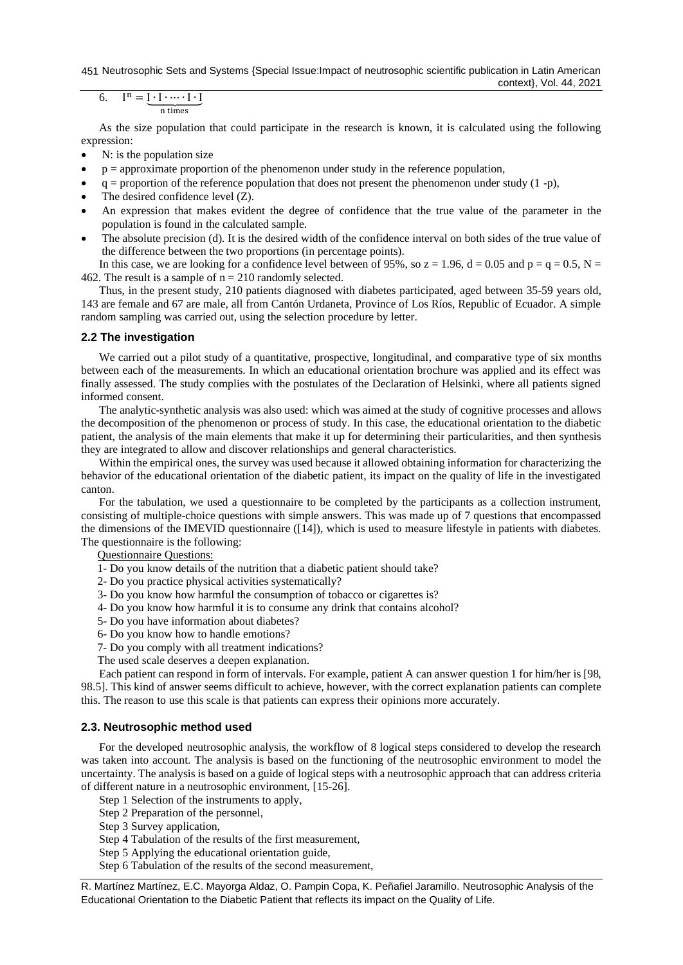451 Neutrosophic Sets and Systems {Special Issue:Impact of neutrosophic scientific publication in Latin American

context}, Vol. 44, 2021

6. 
$$
I^{n} = \underbrace{I \cdot I \cdot \cdots \cdot I \cdot I}_{n \text{ times}}
$$

As the size population that could participate in the research is known, it is calculated using the following expression:

- N: is the population size
- $p =$  approximate proportion of the phenomenon under study in the reference population,
- $q =$  proportion of the reference population that does not present the phenomenon under study (1 -p),
- The desired confidence level (Z).
- An expression that makes evident the degree of confidence that the true value of the parameter in the population is found in the calculated sample.
- The absolute precision (d). It is the desired width of the confidence interval on both sides of the true value of the difference between the two proportions (in percentage points).

In this case, we are looking for a confidence level between of 95%, so  $z = 1.96$ ,  $d = 0.05$  and  $p = q = 0.5$ ,  $N =$ 462. The result is a sample of  $n = 210$  randomly selected.

Thus, in the present study, 210 patients diagnosed with diabetes participated, aged between 35-59 years old, 143 are female and 67 are male, all from Cantón Urdaneta, Province of Los Ríos, Republic of Ecuador. A simple random sampling was carried out, using the selection procedure by letter.

# **2.2 The investigation**

We carried out a pilot study of a quantitative, prospective, longitudinal, and comparative type of six months between each of the measurements. In which an educational orientation brochure was applied and its effect was finally assessed. The study complies with the postulates of the Declaration of Helsinki, where all patients signed informed consent.

The analytic-synthetic analysis was also used: which was aimed at the study of cognitive processes and allows the decomposition of the phenomenon or process of study. In this case, the educational orientation to the diabetic patient, the analysis of the main elements that make it up for determining their particularities, and then synthesis they are integrated to allow and discover relationships and general characteristics.

Within the empirical ones, the survey was used because it allowed obtaining information for characterizing the behavior of the educational orientation of the diabetic patient, its impact on the quality of life in the investigated canton.

For the tabulation, we used a questionnaire to be completed by the participants as a collection instrument, consisting of multiple-choice questions with simple answers. This was made up of 7 questions that encompassed the dimensions of the IMEVID questionnaire ([14]), which is used to measure lifestyle in patients with diabetes. The questionnaire is the following:

Questionnaire Questions:

- 1- Do you know details of the nutrition that a diabetic patient should take?
- 2- Do you practice physical activities systematically?
- 3- Do you know how harmful the consumption of tobacco or cigarettes is?
- 4- Do you know how harmful it is to consume any drink that contains alcohol?
- 5- Do you have information about diabetes?
- 6- Do you know how to handle emotions?
- 7- Do you comply with all treatment indications?
- The used scale deserves a deepen explanation.

Each patient can respond in form of intervals. For example, patient A can answer question 1 for him/her is [98, 98.5]. This kind of answer seems difficult to achieve, however, with the correct explanation patients can complete this. The reason to use this scale is that patients can express their opinions more accurately.

## **2.3. Neutrosophic method used**

For the developed neutrosophic analysis, the workflow of 8 logical steps considered to develop the research was taken into account. The analysis is based on the functioning of the neutrosophic environment to model the uncertainty. The analysis is based on a guide of logical steps with a neutrosophic approach that can address criteria of different nature in a neutrosophic environment, [15-26].

Step 1 Selection of the instruments to apply,

- Step 2 Preparation of the personnel,
- Step 3 Survey application,

Step 4 Tabulation of the results of the first measurement,

Step 5 Applying the educational orientation guide,

Step 6 Tabulation of the results of the second measurement,

R. Martínez Martínez, E.C. Mayorga Aldaz, O. Pampin Copa, K. Peñafiel Jaramillo. Neutrosophic Analysis of the Educational Orientation to the Diabetic Patient that reflects its impact on the Quality of Life.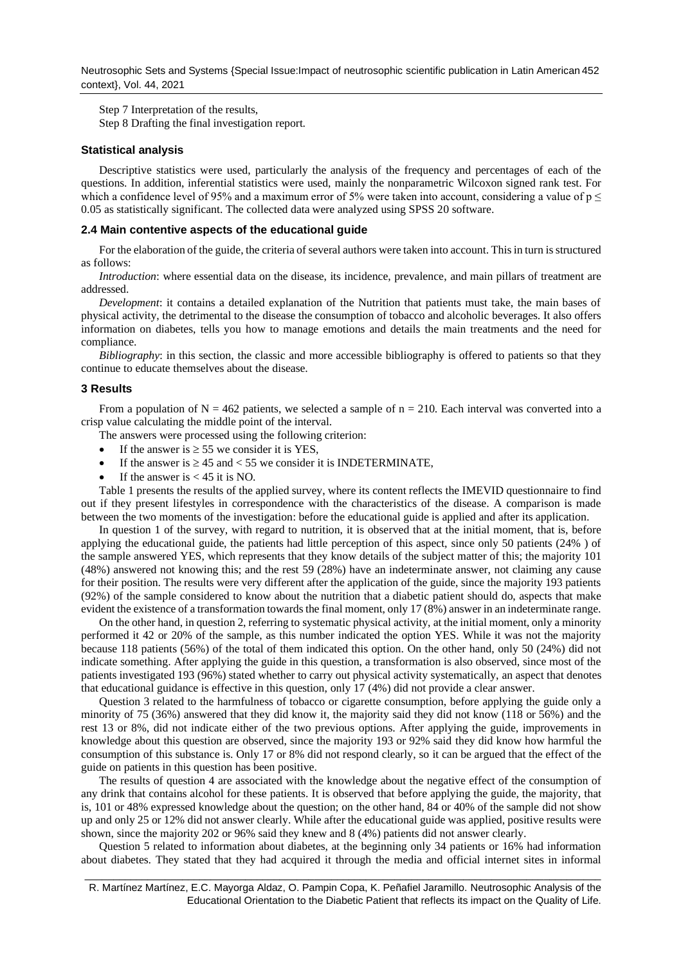Neutrosophic Sets and Systems {Special Issue:Impact of neutrosophic scientific publication in Latin American 452 context}, Vol. 44, 2021

Step 7 Interpretation of the results, Step 8 Drafting the final investigation report.

#### **Statistical analysis**

Descriptive statistics were used, particularly the analysis of the frequency and percentages of each of the questions. In addition, inferential statistics were used, mainly the nonparametric Wilcoxon signed rank test. For which a confidence level of 95% and a maximum error of 5% were taken into account, considering a value of  $p \leq$ 0.05 as statistically significant. The collected data were analyzed using SPSS 20 software.

#### **2.4 Main contentive aspects of the educational guide**

For the elaboration of the guide, the criteria of several authors were taken into account. This in turn is structured as follows:

*Introduction*: where essential data on the disease, its incidence, prevalence, and main pillars of treatment are addressed.

*Development*: it contains a detailed explanation of the Nutrition that patients must take, the main bases of physical activity, the detrimental to the disease the consumption of tobacco and alcoholic beverages. It also offers information on diabetes, tells you how to manage emotions and details the main treatments and the need for compliance.

*Bibliography*: in this section, the classic and more accessible bibliography is offered to patients so that they continue to educate themselves about the disease.

#### **3 Results**

From a population of  $N = 462$  patients, we selected a sample of  $n = 210$ . Each interval was converted into a crisp value calculating the middle point of the interval.

The answers were processed using the following criterion:

- If the answer is  $\geq$  55 we consider it is YES,
- If the answer is  $\geq 45$  and  $\lt$  55 we consider it is INDETERMINATE,
- If the answer is  $< 45$  it is NO.

Table 1 presents the results of the applied survey, where its content reflects the IMEVID questionnaire to find out if they present lifestyles in correspondence with the characteristics of the disease. A comparison is made between the two moments of the investigation: before the educational guide is applied and after its application.

In question 1 of the survey, with regard to nutrition, it is observed that at the initial moment, that is, before applying the educational guide, the patients had little perception of this aspect, since only 50 patients (24% ) of the sample answered YES, which represents that they know details of the subject matter of this; the majority 101 (48%) answered not knowing this; and the rest 59 (28%) have an indeterminate answer, not claiming any cause for their position. The results were very different after the application of the guide, since the majority 193 patients (92%) of the sample considered to know about the nutrition that a diabetic patient should do, aspects that make evident the existence of a transformation towards the final moment, only 17 (8%) answer in an indeterminate range.

On the other hand, in question 2, referring to systematic physical activity, at the initial moment, only a minority performed it 42 or 20% of the sample, as this number indicated the option YES. While it was not the majority because 118 patients (56%) of the total of them indicated this option. On the other hand, only 50 (24%) did not indicate something. After applying the guide in this question, a transformation is also observed, since most of the patients investigated 193 (96%) stated whether to carry out physical activity systematically, an aspect that denotes that educational guidance is effective in this question, only 17 (4%) did not provide a clear answer.

Question 3 related to the harmfulness of tobacco or cigarette consumption, before applying the guide only a minority of 75 (36%) answered that they did know it, the majority said they did not know (118 or 56%) and the rest 13 or 8%, did not indicate either of the two previous options. After applying the guide, improvements in knowledge about this question are observed, since the majority 193 or 92% said they did know how harmful the consumption of this substance is. Only 17 or 8% did not respond clearly, so it can be argued that the effect of the guide on patients in this question has been positive.

The results of question 4 are associated with the knowledge about the negative effect of the consumption of any drink that contains alcohol for these patients. It is observed that before applying the guide, the majority, that is, 101 or 48% expressed knowledge about the question; on the other hand, 84 or 40% of the sample did not show up and only 25 or 12% did not answer clearly. While after the educational guide was applied, positive results were shown, since the majority 202 or 96% said they knew and 8 (4%) patients did not answer clearly.

Question 5 related to information about diabetes, at the beginning only 34 patients or 16% had information about diabetes. They stated that they had acquired it through the media and official internet sites in informal

\_\_\_\_\_\_\_\_\_\_\_\_\_\_\_\_\_\_\_\_\_\_\_\_\_\_\_\_\_\_\_\_\_\_\_\_\_\_\_\_\_\_\_\_\_\_\_\_\_\_\_\_\_\_\_\_\_\_\_\_\_\_\_\_\_\_\_\_\_\_\_\_\_\_\_\_\_\_\_\_\_\_\_\_\_\_\_\_\_\_ R. Martínez Martínez, E.C. Mayorga Aldaz, O. Pampin Copa, K. Peñafiel Jaramillo. Neutrosophic Analysis of the Educational Orientation to the Diabetic Patient that reflects its impact on the Quality of Life.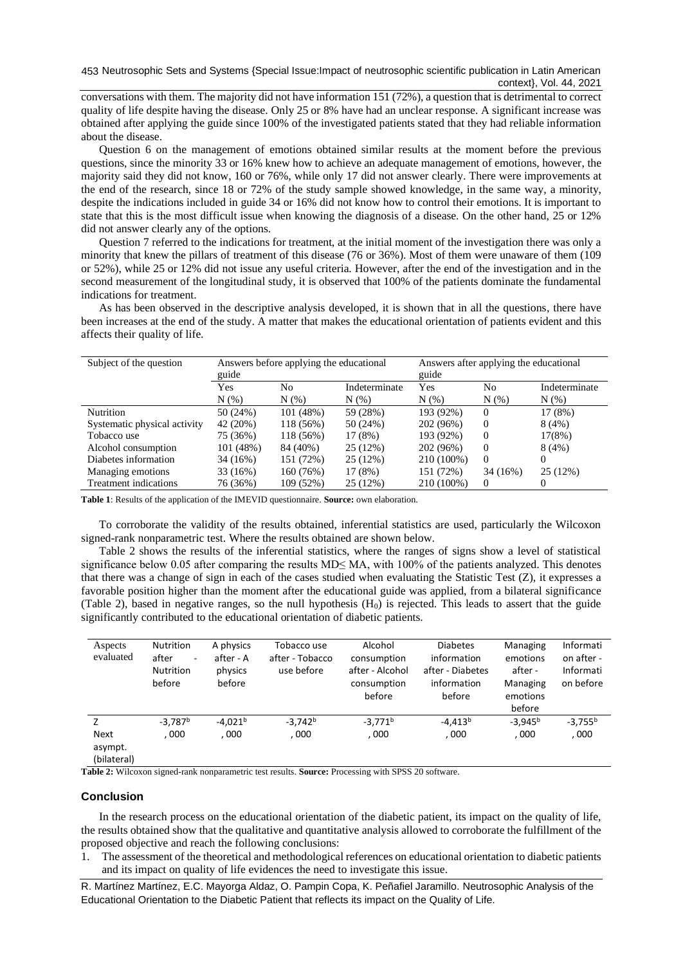conversations with them. The majority did not have information 151 (72%), a question that is detrimental to correct quality of life despite having the disease. Only 25 or 8% have had an unclear response. A significant increase was obtained after applying the guide since 100% of the investigated patients stated that they had reliable information about the disease.

Question 6 on the management of emotions obtained similar results at the moment before the previous questions, since the minority 33 or 16% knew how to achieve an adequate management of emotions, however, the majority said they did not know, 160 or 76%, while only 17 did not answer clearly. There were improvements at the end of the research, since 18 or 72% of the study sample showed knowledge, in the same way, a minority, despite the indications included in guide 34 or 16% did not know how to control their emotions. It is important to state that this is the most difficult issue when knowing the diagnosis of a disease. On the other hand, 25 or 12% did not answer clearly any of the options.

Question 7 referred to the indications for treatment, at the initial moment of the investigation there was only a minority that knew the pillars of treatment of this disease (76 or 36%). Most of them were unaware of them (109 or 52%), while 25 or 12% did not issue any useful criteria. However, after the end of the investigation and in the second measurement of the longitudinal study, it is observed that 100% of the patients dominate the fundamental indications for treatment.

As has been observed in the descriptive analysis developed, it is shown that in all the questions, there have been increases at the end of the study. A matter that makes the educational orientation of patients evident and this affects their quality of life.

| Subject of the question      | Answers before applying the educational<br>guide |           |               | Answers after applying the educational<br>guide |          |               |
|------------------------------|--------------------------------------------------|-----------|---------------|-------------------------------------------------|----------|---------------|
|                              | Yes                                              | No        | Indeterminate | Yes                                             | No       | Indeterminate |
|                              | N(% )                                            | N(% )     | $N(\%)$       | $N(\%)$                                         | N(% )    | $N(\%)$       |
| <b>Nutrition</b>             | 50(24%)                                          | 101(48%)  | 59 (28%)      | 193 (92%)                                       | $\Omega$ | 17 (8%)       |
| Systematic physical activity | 42 (20%)                                         | 118 (56%) | 50 (24%)      | 202 (96%)                                       | $\Omega$ | 8(4%)         |
| Tobacco use                  | 75 (36%)                                         | 118 (56%) | 17(8%)        | 193 (92%)                                       | $\Omega$ | 17(8%)        |
| Alcohol consumption          | 101 (48%)                                        | 84 (40%)  | 25 (12%)      | 202 (96%)                                       | $\Omega$ | 8(4%)         |
| Diabetes information         | 34 (16%)                                         | 151 (72%) | 25 (12%)      | 210 (100%)                                      | $\Omega$ | $\theta$      |
| Managing emotions            | 33 (16%)                                         | 160 (76%) | 17 (8%)       | 151 (72%)                                       | 34 (16%) | 25(12%)       |
| <b>Treatment indications</b> | 76 (36%)                                         | 109 (52%) | 25 (12%)      | 210 (100%)                                      | $\Omega$ |               |

**Table 1**: Results of the application of the IMEVID questionnaire. **Source:** own elaboration.

To corroborate the validity of the results obtained, inferential statistics are used, particularly the Wilcoxon signed-rank nonparametric test. Where the results obtained are shown below.

Table 2 shows the results of the inferential statistics, where the ranges of signs show a level of statistical significance below 0.05 after comparing the results MD≤ MA, with 100% of the patients analyzed. This denotes that there was a change of sign in each of the cases studied when evaluating the Statistic Test (Z), it expresses a favorable position higher than the moment after the educational guide was applied, from a bilateral significance (Table 2), based in negative ranges, so the null hypothesis  $(H<sub>0</sub>)$  is rejected. This leads to assert that the guide significantly contributed to the educational orientation of diabetic patients.

| Aspects<br>evaluated                  | <b>Nutrition</b><br>after<br>$\sim$<br><b>Nutrition</b><br>before | A physics<br>after - A<br>physics<br>before | Tobacco use<br>after - Tobacco<br>use before | Alcohol<br>consumption<br>after - Alcohol<br>consumption<br>before | <b>Diabetes</b><br>information<br>after - Diabetes<br>information<br>before | Managing<br>emotions<br>after -<br>Managing<br>emotions<br>before | Informati<br>on after -<br>Informati<br>on before |
|---------------------------------------|-------------------------------------------------------------------|---------------------------------------------|----------------------------------------------|--------------------------------------------------------------------|-----------------------------------------------------------------------------|-------------------------------------------------------------------|---------------------------------------------------|
| Z                                     | $-3.787b$                                                         | $-4.021b$                                   | $-3,742b$                                    | $-3,771$ <sup>b</sup>                                              | $-4.413b$                                                                   | $-3.945b$                                                         | $-3.755b$                                         |
| <b>Next</b><br>asympt.<br>(bilateral) | .000                                                              | , 000                                       | , 000                                        | , 000                                                              | , 000                                                                       | , 000                                                             | , 000                                             |

**Table 2:** Wilcoxon signed-rank nonparametric test results. **Source:** Processing with SPSS 20 software.

## **Conclusion**

In the research process on the educational orientation of the diabetic patient, its impact on the quality of life, the results obtained show that the qualitative and quantitative analysis allowed to corroborate the fulfillment of the proposed objective and reach the following conclusions:

1. The assessment of the theoretical and methodological references on educational orientation to diabetic patients and its impact on quality of life evidences the need to investigate this issue.

R. Martínez Martínez, E.C. Mayorga Aldaz, O. Pampin Copa, K. Peñafiel Jaramillo. Neutrosophic Analysis of the Educational Orientation to the Diabetic Patient that reflects its impact on the Quality of Life.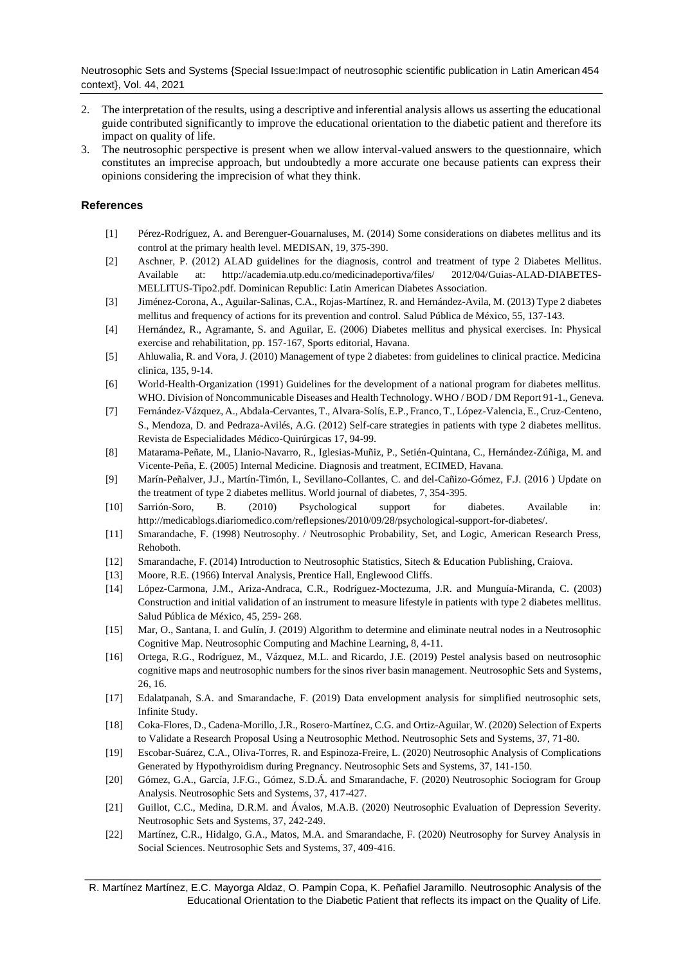Neutrosophic Sets and Systems {Special Issue:Impact of neutrosophic scientific publication in Latin American 454 context}, Vol. 44, 2021

- 2. The interpretation of the results, using a descriptive and inferential analysis allows us asserting the educational guide contributed significantly to improve the educational orientation to the diabetic patient and therefore its impact on quality of life.
- 3. The neutrosophic perspective is present when we allow interval-valued answers to the questionnaire, which constitutes an imprecise approach, but undoubtedly a more accurate one because patients can express their opinions considering the imprecision of what they think.

## **References**

- [1] Pérez-Rodríguez, A. and Berenguer-Gouarnaluses, M. (2014) Some considerations on diabetes mellitus and its control at the primary health level. MEDISAN, 19, 375-390.
- [2] Aschner, P. (2012) ALAD guidelines for the diagnosis, control and treatment of type 2 Diabetes Mellitus. Available at: http://academia.utp.edu.co/medicinadeportiva/files/ 2012/04/Guias-ALAD-DIABETES-MELLITUS-Tipo2.pdf. Dominican Republic: Latin American Diabetes Association.
- [3] Jiménez-Corona, A., Aguilar-Salinas, C.A., Rojas-Martínez, R. and Hernández-Avila, M. (2013) Type 2 diabetes mellitus and frequency of actions for its prevention and control. Salud Pública de México, 55, 137-143.
- [4] Hernández, R., Agramante, S. and Aguilar, E. (2006) Diabetes mellitus and physical exercises. In: Physical exercise and rehabilitation, pp. 157-167, Sports editorial, Havana.
- [5] Ahluwalia, R. and Vora, J. (2010) Management of type 2 diabetes: from guidelines to clinical practice. Medicina clinica, 135, 9-14.
- [6] World-Health-Organization (1991) Guidelines for the development of a national program for diabetes mellitus. WHO. Division of Noncommunicable Diseases and Health Technology. WHO / BOD / DM Report 91-1., Geneva.
- [7] Fernández-Vázquez, A., Abdala-Cervantes, T., Alvara-Solís, E.P., Franco, T., López-Valencia, E., Cruz-Centeno, S., Mendoza, D. and Pedraza-Avilés, A.G. (2012) Self-care strategies in patients with type 2 diabetes mellitus. Revista de Especialidades Médico-Quirúrgicas 17, 94-99.
- [8] Matarama-Peñate, M., Llanio-Navarro, R., Iglesias-Muñiz, P., Setién-Quintana, C., Hernández-Zúñiga, M. and Vicente-Peña, E. (2005) Internal Medicine. Diagnosis and treatment, ECIMED, Havana.
- [9] Marín-Peñalver, J.J., Martín-Timón, I., Sevillano-Collantes, C. and del-Cañizo-Gómez, F.J. (2016 ) Update on the treatment of type 2 diabetes mellitus. World journal of diabetes, 7, 354-395.
- [10] Sarrión-Soro, B. (2010) Psychological support for diabetes. Available in: http://medicablogs.diariomedico.com/reflepsiones/2010/09/28/psychological-support-for-diabetes/.
- [11] Smarandache, F. (1998) Neutrosophy. / Neutrosophic Probability, Set, and Logic, American Research Press, Rehoboth.
- [12] Smarandache, F. (2014) Introduction to Neutrosophic Statistics, Sitech & Education Publishing, Craiova.
- [13] Moore, R.E. (1966) Interval Analysis, Prentice Hall, Englewood Cliffs.
- [14] López-Carmona, J.M., Ariza-Andraca, C.R., Rodríguez-Moctezuma, J.R. and Munguía-Miranda, C. (2003) Construction and initial validation of an instrument to measure lifestyle in patients with type 2 diabetes mellitus. Salud Pública de México, 45, 259- 268.
- [15] Mar, O., Santana, I. and Gulín, J. (2019) Algorithm to determine and eliminate neutral nodes in a Neutrosophic Cognitive Map. Neutrosophic Computing and Machine Learning, 8, 4-11.
- [16] Ortega, R.G., Rodríguez, M., Vázquez, M.L. and Ricardo, J.E. (2019) Pestel analysis based on neutrosophic cognitive maps and neutrosophic numbers for the sinos river basin management. Neutrosophic Sets and Systems, 26, 16.
- [17] Edalatpanah, S.A. and Smarandache, F. (2019) Data envelopment analysis for simplified neutrosophic sets, Infinite Study.
- [18] Coka-Flores, D., Cadena-Morillo, J.R., Rosero-Martínez, C.G. and Ortiz-Aguilar, W. (2020) Selection of Experts to Validate a Research Proposal Using a Neutrosophic Method. Neutrosophic Sets and Systems, 37, 71-80.
- [19] Escobar-Suárez, C.A., Oliva-Torres, R. and Espinoza-Freire, L. (2020) Neutrosophic Analysis of Complications Generated by Hypothyroidism during Pregnancy. Neutrosophic Sets and Systems, 37, 141-150.
- [20] Gómez, G.A., García, J.F.G., Gómez, S.D.Á. and Smarandache, F. (2020) Neutrosophic Sociogram for Group Analysis. Neutrosophic Sets and Systems, 37, 417-427.
- [21] Guillot, C.C., Medina, D.R.M. and Ávalos, M.A.B. (2020) Neutrosophic Evaluation of Depression Severity. Neutrosophic Sets and Systems, 37, 242-249.
- [22] Martínez, C.R., Hidalgo, G.A., Matos, M.A. and Smarandache, F. (2020) Neutrosophy for Survey Analysis in Social Sciences. Neutrosophic Sets and Systems, 37, 409-416.

\_\_\_\_\_\_\_\_\_\_\_\_\_\_\_\_\_\_\_\_\_\_\_\_\_\_\_\_\_\_\_\_\_\_\_\_\_\_\_\_\_\_\_\_\_\_\_\_\_\_\_\_\_\_\_\_\_\_\_\_\_\_\_\_\_\_\_\_\_\_\_\_\_\_\_\_\_\_\_\_\_\_\_\_\_\_\_\_\_\_ R. Martínez Martínez, E.C. Mayorga Aldaz, O. Pampin Copa, K. Peñafiel Jaramillo. Neutrosophic Analysis of the Educational Orientation to the Diabetic Patient that reflects its impact on the Quality of Life.